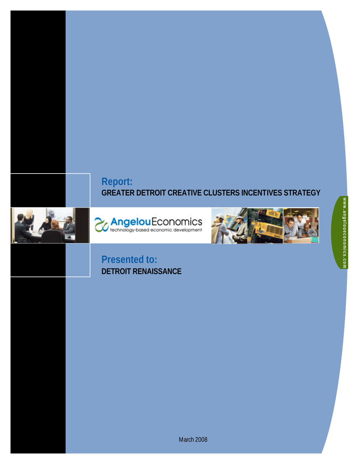# **Report: GREATER DETROIT CREATIVE CLUSTERS INCENTIVES STRATEGY**







# **Presented to: DETROIT RENAISSANCE**

March 2008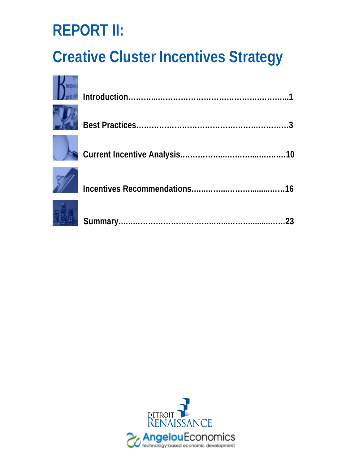# **REPORT II:**

# **Creative Cluster Incentives Strategy**



|  | .23 |
|--|-----|

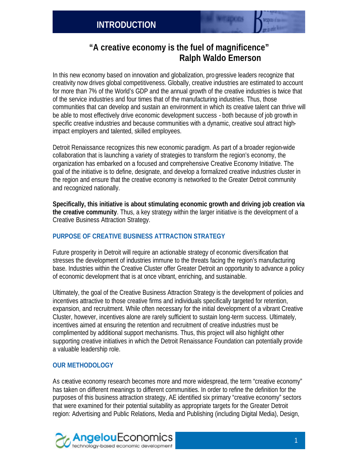# **"A creative economy is the fuel of magnificence" Ralph Waldo Emerson**

In this new economy based on innovation and globalization, pro gressive leaders recognize that creativity now drives global competitiveness. Globally, creative industries are estimated to account for more than 7% of the World's GDP and the annual growth of the creative industries is twice that of the service industries and four times that of the manufacturing industries. Thus, those communities that can develop and sustain an environment in which its creative talent can thrive will be able to most effectively drive economic development success - both because of job growth in specific creative industries and because communities with a dynamic, creative soul attract highimpact employers and talented, skilled employees.

Detroit Renaissance recognizes this new economic paradigm. As part of a broader region-wide collaboration that is launching a variety of strategies to transform the region's economy, the organization has embarked on a focused and comprehensive Creative Economy Initiative. The goal of the initiative is to define, designate, and develop a formalized creative industries cluster in the region and ensure that the creative economy is networked to the Greater Detroit community and recognized nationally.

**Specifically, this initiative is about stimulating economic growth and driving job creation via the creative community**. Thus, a key strategy within the larger initiative is the development of a Creative Business Attraction Strategy.

#### **PURPOSE OF CREATIVE BUSINESS ATTRACTION STRATEGY**

Future prosperity in Detroit will require an actionable strategy of economic diversification that stresses the development of industries immune to the threats facing the region's manufacturing base. Industries within the Creative Cluster offer Greater Detroit an opportunity to advance a policy of economic development that is at once vibrant, enriching, and sustainable.

Ultimately, the goal of the Creative Business Attraction Strategy is the development of policies and incentives attractive to those creative firms and individuals specifically targeted for retention, expansion, and recruitment. While often necessary for the initial development of a vibrant Creative Cluster, however, incentives alone are rarely sufficient to sustain long-term success. Ultimately, incentives aimed at ensuring the retention and recruitment of creative industries must be complimented by additional support mechanisms. Thus, this project will also highlight other supporting creative initiatives in which the Detroit Renaissance Foundation can potentially provide a valuable leadership role.

### **OUR METHODOLOGY**

As creative economy research becomes more and more widespread, the term "creative economy" has taken on different meanings to different communities. In order to refine the definition for the purposes of this business attraction strategy, AE identified six primary "creative economy" sectors that were examined for their potential suitability as appropriate targets for the Greater Detroit region: Advertising and Public Relations, Media and Publishing (including Digital Media), Design,

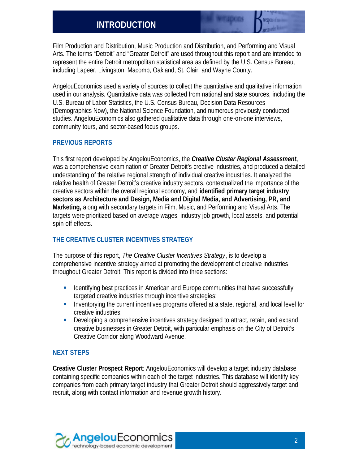# **INTRODUCTION**

Film Production and Distribution, Music Production and Distribution, and Performing and Visual Arts. The terms "Detroit" and "Greater Detroit" are used throughout this report and are intended to represent the entire Detroit metropolitan statistical area as defined by the U.S. Census Bureau, including Lapeer, Livingston, Macomb, Oakland, St. Clair, and Wayne County.

AngelouEconomics used a variety of sources to collect the quantitative and qualitative information used in our analysis. Quantitative data was collected from national and state sources, including the U.S. Bureau of Labor Statistics, the U.S. Census Bureau, Decision Data Resources (Demographics Now), the National Science Foundation, and numerous previously conducted studies. AngelouEconomics also gathered qualitative data through one-on-one interviews, community tours, and sector-based focus groups.

#### **PREVIOUS REPORTS**

This first report developed by AngelouEconomics, the *Creative Cluster Regional Assessment***,** was a comprehensive examination of Greater Detroit's creative industries, and produced a detailed understanding of the relative regional strength of individual creative industries. It analyzed the relative health of Greater Detroit's creative industry sectors, contextualized the importance of the creative sectors within the overall regional economy, and **identified primary target industry sectors as Architecture and Design, Media and Digital Media, and Advertising, PR, and Marketing,** along with secondary targets in Film, Music, and Performing and Visual Arts. The targets were prioritized based on average wages, industry job growth, local assets, and potential spin-off effects.

#### **THE CREATIVE CLUSTER INCENTIVES STRATEGY**

The purpose of this report, *The Creative Cluster Incentives Strategy*, is to develop a comprehensive incentive strategy aimed at promoting the development of creative industries throughout Greater Detroit. This report is divided into three sections:

- **EXECT** Identifying best practices in American and Europe communities that have successfully targeted creative industries through incentive strategies;
- **EXECT** Inventorying the current incentives programs offered at a state, regional, and local level for creative industries;
- **•** Developing a comprehensive incentives strategy designed to attract, retain, and expand creative businesses in Greater Detroit, with particular emphasis on the City of Detroit's Creative Corridor along Woodward Avenue.

#### **NEXT STEPS**

**Creative Cluster Prospect Report**: AngelouEconomics will develop a target industry database containing specific companies within each of the target industries. This database will identify key companies from each primary target industry that Greater Detroit should aggressively target and recruit, along with contact information and revenue growth history.

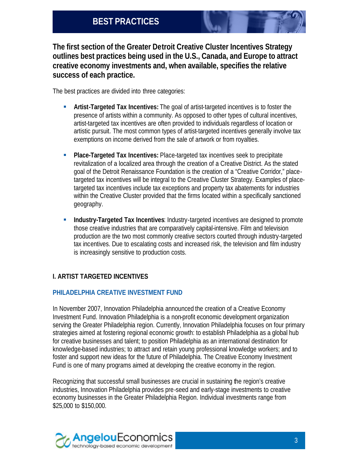**The first section of the Greater Detroit Creative Cluster Incentives Strategy outlines best practices being used in the U.S., Canada, and Europe to attract creative economy investments and, when available, specifies the relative success of each practice.**

The best practices are divided into three categories:

- **Artist-Targeted Tax Incentives:** The goal of artist-targeted incentives is to foster the presence of artists within a community. As opposed to other types of cultural incentives, artist-targeted tax incentives are often provided to individuals regardless of location or artistic pursuit. The most common types of artist-targeted incentives generally involve tax exemptions on income derived from the sale of artwork or from royalties.
- **Place-Targeted Tax Incentives:** Place-targeted tax incentives seek to precipitate revitalization of a localized area through the creation of a Creative District. As the stated goal of the Detroit Renaissance Foundation is the creation of a "Creative Corridor," placetargeted tax incentives will be integral to the Creative Cluster Strategy. Examples of placetargeted tax incentives include tax exceptions and property tax abatements for industries within the Creative Cluster provided that the firms located within a specifically sanctioned geography.
- **Industry-Targeted Tax Incentives: Industry-targeted incentives are designed to promote** those creative industries that are comparatively capital-intensive. Film and television production are the two most commonly creative sectors courted through industry-targeted tax incentives. Due to escalating costs and increased risk, the television and film industry is increasingly sensitive to production costs.

### **I. ARTIST TARGETED INCENTIVES**

#### **PHILADELPHIA CREATIVE INVESTMENT FUND**

In November 2007, Innovation Philadelphia announced the creation of a Creative Economy Investment Fund. Innovation Philadelphia is a non-profit economic development organization serving the Greater Philadelphia region. Currently, Innovation Philadelphia focuses on four primary strategies aimed at fostering regional economic growth: to establish Philadelphia as a global hub for creative businesses and talent; to position Philadelphia as an international destination for knowledge-based industries; to attract and retain young professional knowledge workers; and to foster and support new ideas for the future of Philadelphia. The Creative Economy Investment Fund is one of many programs aimed at developing the creative economy in the region.

Recognizing that successful small businesses are crucial in sustaining the region's creative industries, Innovation Philadelphia provides pre-seed and early-stage investments to creative economy businesses in the Greater Philadelphia Region. Individual investments range from \$25,000 to \$150,000.

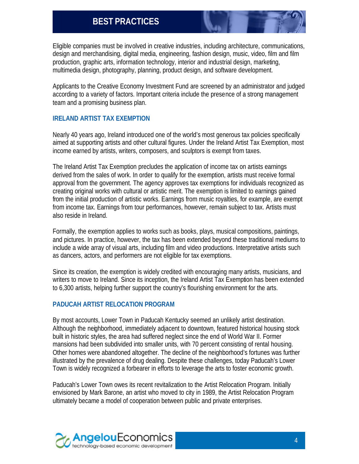Eligible companies must be involved in creative industries, including architecture, communications, design and merchandising, digital media, engineering, fashion design, music, video, film and film production, graphic arts, information technology, interior and industrial design, marketing, multimedia design, photography, planning, product design, and software development.

Applicants to the Creative Economy Investment Fund are screened by an administrator and judged according to a variety of factors. Important criteria include the presence of a strong management team and a promising business plan.

#### **IRELAND ARTIST TAX EXEMPTION**

Nearly 40 years ago, Ireland introduced one of the world's most generous tax policies specifically aimed at supporting artists and other cultural figures. Under the Ireland Artist Tax Exemption, most income earned by artists, writers, composers, and sculptors is exempt from taxes.

The Ireland Artist Tax Exemption precludes the application of income tax on artists earnings derived from the sales of work. In order to qualify for the exemption, artists must receive formal approval from the government. The agency approves tax exemptions for individuals recognized as creating original works with cultural or artistic merit. The exemption is limited to earnings gained from the initial production of artistic works. Earnings from music royalties, for example, are exempt from income tax. Earnings from tour performances, however, remain subject to tax. Artists must also reside in Ireland.

Formally, the exemption applies to works such as books, plays, musical compositions, paintings, and pictures. In practice, however, the tax has been extended beyond these traditional mediums to include a wide array of visual arts, including film and video productions. Interpretative artists such as dancers, actors, and performers are not eligible for tax exemptions.

Since its creation, the exemption is widely credited with encouraging many artists, musicians, and writers to move to Ireland. Since its inception, the Ireland Artist Tax Exemption has been extended to 6,300 artists, helping further support the country's flourishing environment for the arts.

#### **PADUCAH ARTIST RELOCATION PROGRAM**

By most accounts, Lower Town in Paducah Kentucky seemed an unlikely artist destination. Although the neighborhood, immediately adjacent to downtown, featured historical housing stock built in historic styles, the area had suffered neglect since the end of World War II. Former mansions had been subdivided into smaller units, with 70 percent consisting of rental housing. Other homes were abandoned altogether. The decline of the neighborhood's fortunes was further illustrated by the prevalence of drug dealing. Despite these challenges, today Paducah's Lower Town is widely recognized a forbearer in efforts to leverage the arts to foster economic growth.

Paducah's Lower Town owes its recent revitalization to the Artist Relocation Program. Initially envisioned by Mark Barone, an artist who moved to city in 1989, the Artist Relocation Program ultimately became a model of cooperation between public and private enterprises.

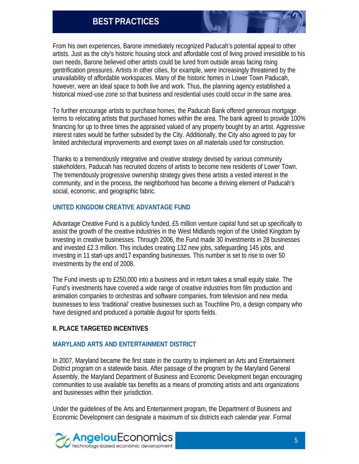From his own experiences, Barone immediately recognized Paducah's potential appeal to other artists. Just as the city's historic housing stock and affordable cost of living proved irresistible to his own needs, Barone believed other artists could be lured from outside areas facing rising gentrification pressures. Artists in other cities, for example, were increasingly threatened by the unavailability of affordable workspaces. Many of the historic homes in Lower Town Paducah, however, were an ideal space to both live and work. Thus, the planning agency established a historical mixed-use zone so that business and residential uses could occur in the same area.

To further encourage artists to purchase homes, the Paducah Bank offered generous mortgage terms to relocating artists that purchased homes within the area. The bank agreed to provide 100% financing for up to three times the appraised valued of any property bought by an artist. Aggressive interest rates would be further subsided by the City. Additionally, the City also agreed to pay for limited architectural improvements and exempt taxes on all materials used for construction.

Thanks to a tremendously integrative and creative strategy devised by various community stakeholders, Paducah has recruited dozens of artists to become new residents of Lower Town. The tremendously progressive ownership strategy gives these artists a vested interest in the community, and in the process, the neighborhood has become a thriving element of Paducah's social, economic, and geographic fabric.

#### **UNITED KINGDOM CREATIVE ADVANTAGE FUND**

Advantage Creative Fund is a publicly funded, £5 million venture capital fund set up specifically to assist the growth of the creative industries in the West Midlands region of the United Kingdom by investing in creative businesses. Through 2006, the Fund made 30 investments in 28 businesses and invested £2.3 million. This includes creating 132 new jobs, safeguarding 145 jobs, and investing in 11 start-ups and17 expanding businesses. This number is set to rise to over 50 investments by the end of 2008.

The Fund invests up to £250,000 into a business and in return takes a small equity stake. The Fund's investments have covered a wide range of creative industries from film production and animation companies to orchestras and software companies, from television and new media businesses to less 'traditional' creative businesses such as Touchline Pro, a design company who have designed and produced a portable dugout for sports fields.

#### **II. PLACE TARGETED INCENTIVES**

#### **MARYLAND ARTS AND ENTERTAINMENT DISTRICT**

In 2007, Maryland became the first state in the country to implement an Arts and Entertainment District program on a statewide basis. After passage of the program by the Maryland General Assembly, the Maryland Department of Business and Economic Development began encouraging communities to use available tax benefits as a means of promoting artists and arts organizations and businesses within their jurisdiction.

Under the guidelines of the Arts and Entertainment program, the Department of Business and Economic Development can designate a maximum of six districts each calendar year. Formal

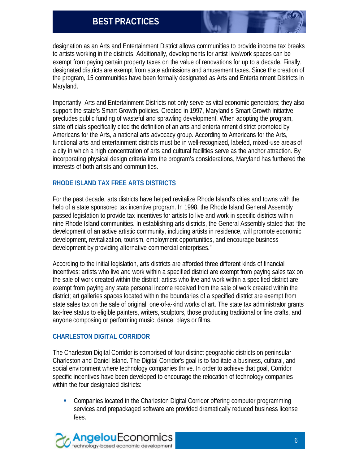designation as an Arts and Entertainment District allows communities to provide income tax breaks to artists working in the districts. Additionally, developments for artist live/work spaces can be exempt from paying certain property taxes on the value of renovations for up to a decade. Finally, designated districts are exempt from state admissions and amusement taxes. Since the creation of the program, 15 communities have been formally designated as Arts and Entertainment Districts in Maryland.

Importantly, Arts and Entertainment Districts not only serve as vital economic generators; they also support the state's Smart Growth policies. Created in 1997, Maryland's Smart Growth initiative precludes public funding of wasteful and sprawling development. When adopting the program, state officials specifically cited the definition of an arts and entertainment district promoted by Americans for the Arts, a national arts advocacy group. According to Americans for the Arts, functional arts and entertainment districts must be in well-recognized, labeled, mixed-use areas of a city in which a high concentration of arts and cultural facilities serve as the anchor attraction. By incorporating physical design criteria into the program's considerations, Maryland has furthered the interests of both artists and communities.

#### **RHODE ISLAND TAX FREE ARTS DISTRICTS**

For the past decade, arts districts have helped revitalize Rhode Island's cities and towns with the help of a state sponsored tax incentive program. In 1998, the Rhode Island General Assembly passed legislation to provide tax incentives for artists to live and work in specific districts within nine Rhode Island communities. In establishing arts districts, the General Assembly stated that "the development of an active artistic community, including artists in residence, will promote economic development, revitalization, tourism, employment opportunities, and encourage business development by providing alternative commercial enterprises."

According to the initial legislation, arts districts are afforded three different kinds of financial incentives: artists who live and work within a specified district are exempt from paying sales tax on the sale of work created within the district; artists who live and work within a specified district are exempt from paying any state personal income received from the sale of work created within the district; art galleries spaces located within the boundaries of a specified district are exempt from state sales tax on the sale of original, one-of-a-kind works of art. The state tax administrator grants tax-free status to eligible painters, writers, sculptors, those producing traditional or fine crafts, and anyone composing or performing music, dance, plays or films.

#### **CHARLESTON DIGITAL CORRIDOR**

The Charleston Digital Corridor is comprised of four distinct geographic districts on peninsular Charleston and Daniel Island. The Digital Corridor's goal is to facilitate a business, cultural, and social environment where technology companies thrive. In order to achieve that goal, Corridor specific incentives have been developed to encourage the relocation of technology companies within the four designated districts:

• Companies located in the Charleston Digital Corridor offering computer programming services and prepackaged software are provided dramatically reduced business license fees.

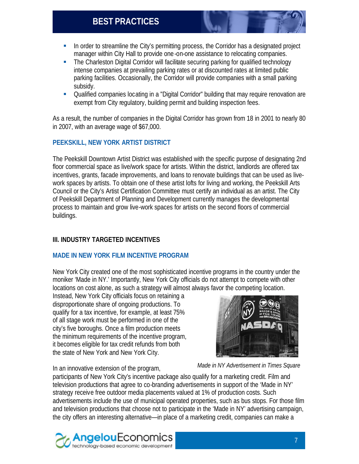- **In order to streamline the City's permitting process, the Corridor has a designated project** manager within City Hall to provide one -on-one assistance to relocating companies.
- The Charleston Digital Corridor will facilitate securing parking for qualified technology intense companies at prevailing parking rates or at discounted rates at limited public parking facilities. Occasionally, the Corridor will provide companies with a small parking subsidy.
- Qualified companies locating in a "Digital Corridor" building that may require renovation are exempt from City regulatory, building permit and building inspection fees.

As a result, the number of companies in the Digital Corridor has grown from 18 in 2001 to nearly 80 in 2007, with an average wage of \$67,000.

#### **PEEKSKILL, NEW YORK ARTIST DISTRICT**

The Peekskill Downtown Artist District was established with the specific purpose of designating 2nd floor commercial space as live/work space for artists. Within the district, landlords are offered tax incentives, grants, facade improvements, and loans to renovate buildings that can be used as livework spaces by artists. To obtain one of these artist lofts for living and working, the Peekskill Arts Council or the City's Artist Certification Committee must certify an individual as an artist. The City of Peekskill Department of Planning and Development currently manages the developmental process to maintain and grow live-work spaces for artists on the second floors of commercial buildings.

### **III. INDUSTRY TARGETED INCENTIVES**

#### **MADE IN NEW YORK FILM INCENTIVE PROGRAM**

New York City created one of the most sophisticated incentive programs in the country under the moniker 'Made in NY.' Importantly, New York City officials do not attempt to compete with other locations on cost alone, as such a strategy will almost always favor the competing location.

Instead, New York City officials focus on retaining a disproportionate share of ongoing productions. To qualify for a tax incentive, for example, at least 75% of all stage work must be performed in one of the city's five boroughs. Once a film production meets the minimum requirements of the incentive program, it becomes eligible for tax credit refunds from both the state of New York and New York City.



In an innovative extension of the program,

*Made in NY Advertisement in Times Square*

participants of New York City's incentive package also qualify for a marketing credit. Film and television productions that agree to co-branding advertisements in support of the 'Made in NY' strategy receive free outdoor media placements valued at 1% of production costs. Such advertisements include the use of municipal operated properties, such as bus stops. For those film and television productions that choose not to participate in the 'Made in NY' advertising campaign, the city offers an interesting alternative—in place of a marketing credit, companies can make a

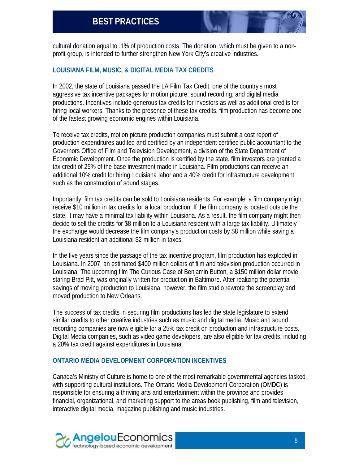cultural donation equal to .1% of production costs. The donation, which must be given to a nonprofit group, is intended to further strengthen New York City's creative industries.

#### **LOUISIANA FILM, MUSIC, & DIGITAL MEDIA TAX CREDITS**

In 2002, the state of Louisiana passed the LA Film Tax Credit, one of the country's most aggressive tax incentive packages for motion picture, sound recording, and digital media productions. Incentives include generous tax credits for investors as well as additional credits for hiring local workers. Thanks to the presence of these tax credits, film production has become one of the fastest growing economic engines within Louisiana.

To receive tax credits, motion picture production companies must submit a cost report of production expenditures audited and certified by an independent certified public accountant to the Governors Office of Film and Television Development, a division of the State Department of Economic Development. Once the production is certified by the state, film investors are granted a tax credit of 25% of the base investment made in Louisiana. Film productions can receive an additional 10% credit for hiring Louisiana labor and a 40% credit for infrastructure development such as the construction of sound stages.

Importantly, film tax credits can be sold to Louisiana residents. For example, a film company might receive \$10 million in tax credits for a local production. If the film company is located outside the state, it may have a minimal tax liability within Louisiana. As a result, the film company might then decide to sell the credits for \$8 million to a Louisiana resident with a large tax liability. Ultimately the exchange would decrease the film company's production costs by \$8 million while saving a Louisiana resident an additional \$2 million in taxes.

In the five years since the passage of the tax incentive program, film production has exploded in Louisiana. In 2007, an estimated \$400 million dollars of film and television production occurred in Louisiana. The upcoming film The Curious Case of Benjamin Button, a \$150 million dollar movie staring Brad Pitt, was originally written for production in Baltimore. After realizing the potential savings of moving production to Louisiana, however, the film studio rewrote the screenplay and moved production to New Orleans.

The success of tax credits in securing film productions has led the state legislature to extend similar credits to other creative industries such as music and digital media. Music and sound recording companies are now eligible for a 25% tax credit on production and infrastructure costs. Digital Media companies, such as video game developers, are also eligible for tax credits, including a 20% tax credit against expenditures in Louisiana.

#### **ONTARIO MEDIA DEVELOPMENT CORPORATION INCENTIVES**

Canada's Ministry of Culture is home to one of the most remarkable governmental agencies tasked with supporting cultural institutions. The Ontario Media Development Corporation (OMDC) is responsible for ensuring a thriving arts and entertainment within the province and provides financial, organizational, and marketing support to the areas book publishing, film and television, interactive digital media, magazine publishing and music industries.

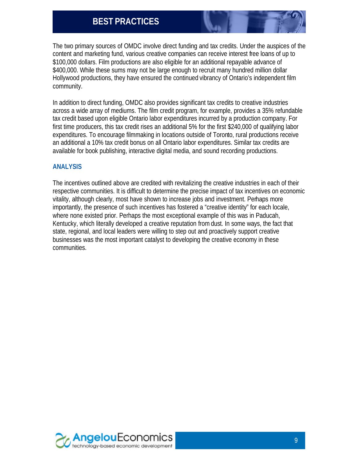The two primary sources of OMDC involve direct funding and tax credits. Under the auspices of the content and marketing fund, various creative companies can receive interest free loans of up to \$100,000 dollars. Film productions are also eligible for an additional repayable advance of \$400,000. While these sums may not be large enough to recruit many hundred million dollar Hollywood productions, they have ensured the continued vibrancy of Ontario's independent film community.

In addition to direct funding, OMDC also provides significant tax credits to creative industries across a wide array of mediums. The film credit program, for example, provides a 35% refundable tax credit based upon eligible Ontario labor expenditures incurred by a production company. For first time producers, this tax credit rises an additional 5% for the first \$240,000 of qualifying labor expenditures. To encourage filmmaking in locations outside of Toronto, rural productions receive an additional a 10% tax credit bonus on all Ontario labor expenditures. Similar tax credits are available for book publishing, interactive digital media, and sound recording productions.

#### **ANALYSIS**

The incentives outlined above are credited with revitalizing the creative industries in each of their respective communities. It is difficult to determine the precise impact of tax incentives on economic vitality, although clearly, most have shown to increase jobs and investment. Perhaps more importantly, the presence of such incentives has fostered a "creative identity" for each locale, where none existed prior. Perhaps the most exceptional example of this was in Paducah, Kentucky, which literally developed a creative reputation from dust. In some ways, the fact that state, regional, and local leaders were willing to step out and proactively support creative businesses was the most important catalyst to developing the creative economy in these communities.

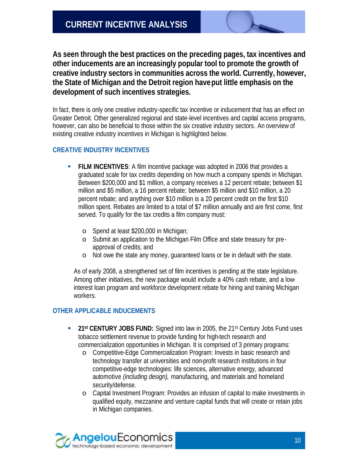**As seen through the best practices on the preceding pages, tax incentives and other inducements are an increasingly popular tool to promote the growth of creative industry sectors in communities across the world. Currently, however, the State of Michigan and the Detroit region have put little emphasis on the development of such incentives strategies.** 

In fact, there is only one creative industry-specific tax incentive or inducement that has an effect on Greater Detroit. Other generalized regional and state-level incentives and capital access programs, however, can also be beneficial to those within the six creative industry sectors. An overview of existing creative industry incentives in Michigan is highlighted below.

#### **CREATIVE INDUSTRY INCENTIVES**

- **FILM INCENTIVES:** A film incentive package was adopted in 2006 that provides a graduated scale for tax credits depending on how much a company spends in Michigan. Between \$200,000 and \$1 million, a company receives a 12 percent rebate; between \$1 million and \$5 million, a 16 percent rebate; between \$5 million and \$10 million, a 20 percent rebate; and anything over \$10 million is a 20 percent credit on the first \$10 million spent. Rebates are limited to a total of \$7 million annually and are first come, first served. To qualify for the tax credits a film company must:
	- o Spend at least \$200,000 in Michigan;
	- o Submit an application to the Michigan Film Office and state treasury for preapproval of credits; and
	- o Not owe the state any money, guaranteed loans or be in default with the state.

As of early 2008, a strengthened set of film incentives is pending at the state legislature. Among other initiatives, the new package would include a 40% cash rebate, and a lowinterest loan program and workforce development rebate for hiring and training Michigan workers.

#### **OTHER APPLICABLE INDUCEMENTS**

- **21st CENTURY JOBS FUND:** Signed into law in 2005, the 21st Century Jobs Fund uses tobacco settlement revenue to provide funding for high-tech research and commercialization opportunities in Michigan. It is comprised of 3 primary programs:
	- o Competitive-Edge Commercialization Program: Invests in basic research and technology transfer at universities and non-profit research institutions in four competitive-edge technologies: life sciences, alternative energy, advanced automotive *(including design),* manufacturing, and materials and homeland security/defense.
	- o Capital Investment Program: Provides an infusion of capital to make investments in qualified equity, mezzanine and venture capital funds that will create or retain jobs in Michigan companies.

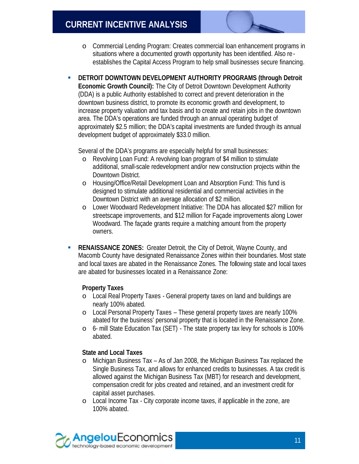- o Commercial Lending Program: Creates commercial loan enhancement programs in situations where a documented growth opportunity has been identified. Also re establishes the Capital Access Program to help small businesses secure financing.
- **BUDIES IN DETROIT DOWNTOWN DEVELOPMENT AUTHORITY PROGRAMS (through Detroit Economic Growth Council):** The City of Detroit Downtown Development Authority (DDA) is a public Authority established to correct and prevent deterioration in the downtown business district, to promote its economic growth and development, to increase property valuation and tax basis and to create and retain jobs in the downtown area. The DDA's operations are funded through an annual operating budget of approximately \$2.5 million; the DDA's capital investments are funded through its annual development budget of approximately \$33.0 million.

Several of the DDA's programs are especially helpful for small businesses:

- o Revolving Loan Fund: A revolving loan program of \$4 million to stimulate additional, small-scale redevelopment and/or new construction projects within the Downtown District.
- o Housing/Office/Retail Development Loan and Absorption Fund: This fund is designed to stimulate additional residential and commercial activities in the Downtown District with an average allocation of \$2 million.
- o Lower Woodward Redevelopment Initiative: The DDA has allocated \$27 million for streetscape improvements, and \$12 million for Façade improvements along Lower Woodward. The façade grants require a matching amount from the property owners.
- **RENAISSANCE ZONES:** Greater Detroit, the City of Detroit, Wayne County, and Macomb County have designated Renaissance Zones within their boundaries. Most state and local taxes are abated in the Renaissance Zones. The following state and local taxes are abated for businesses located in a Renaissance Zone:

### **Property Taxes**

- o Local Real Property Taxes General property taxes on land and buildings are nearly 100% abated.
- o Local Personal Property Taxes These general property taxes are nearly 100% abated for the business' personal property that is located in the Renaissance Zone.
- o 6- mill State Education Tax (SET) The state property tax levy for schools is 100% abated.

### **State and Local Taxes**

- o Michigan Business Tax As of Jan 2008, the Michigan Business Tax replaced the Single Business Tax, and allows for enhanced credits to businesses. A tax credit is allowed against the Michigan Business Tax (MBT) for research and development, compensation credit for jobs created and retained, and an investment credit for capital asset purchases.
- o Local Income Tax City corporate income taxes, if applicable in the zone, are 100% abated.

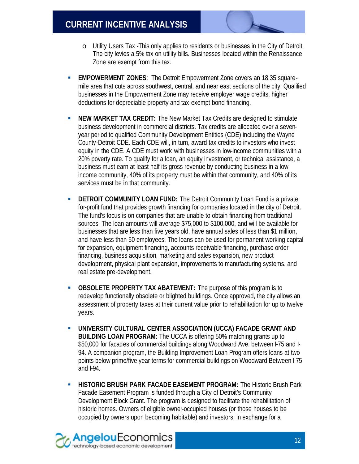- o Utility Users Tax -This only applies to residents or businesses in the City of Detroit. The city levies a 5% tax on utility bills. Businesses located within the Renaissance Zone are exempt from this tax.
- **EMPOWERMENT ZONES:** The Detroit Empowerment Zone covers an 18.35 squaremile area that cuts across southwest, central, and near east sections of the city. Qualified businesses in the Empowerment Zone may receive employer wage credits, higher deductions for depreciable property and tax-exempt bond financing.
- **NEW MARKET TAX CREDIT:** The New Market Tax Credits are designed to stimulate business development in commercial districts. Tax credits are allocated over a sevenyear period to qualified Community Development Entities (CDE) including the Wayne County-Detroit CDE. Each CDE will, in turn, award tax credits to investors who invest equity in the CDE. A CDE must work with businesses in low-income communities with a 20% poverty rate. To qualify for a loan, an equity investment, or technical assistance, a business must earn at least half its gross revenue by conducting business in a lowincome community, 40% of its property must be within that community, and 40% of its services must be in that community.
- **BETROIT COMMUNITY LOAN FUND:** The Detroit Community Loan Fund is a private, for-profit fund that provides growth financing for companies located in the city of Detroit. The fund's focus is on companies that are unable to obtain financing from traditional sources. The loan amounts will average \$75,000 to \$100,000, and will be available for businesses that are less than five years old, have annual sales of less than \$1 million, and have less than 50 employees. The loans can be used for permanent working capital for expansion, equipment financing, accounts receivable financing, purchase order financing, business acquisition, marketing and sales expansion, new product development, physical plant expansion, improvements to manufacturing systems, and real estate pre-development.
- **OBSOLETE PROPERTY TAX ABATEMENT:** The purpose of this program is to redevelop functionally obsolete or blighted buildings. Once approved, the city allows an assessment of property taxes at their current value prior to rehabilitation for up to twelve years.
- ß **UNIVERSITY CULTURAL CENTER ASSOCIATION (UCCA) FACADE GRANT AND BUILDING LOAN PROGRAM:** The UCCA is offering 50% matching grants up to \$50,000 for facades of commercial buildings along Woodward Ave. between I-75 and I-94. A companion program, the Building Improvement Loan Program offers loans at two points below prime/five year terms for commercial buildings on Woodward Between I-75 and I-94.
- **HISTORIC BRUSH PARK FACADE EASEMENT PROGRAM:** The Historic Brush Park Facade Easement Program is funded through a City of Detroit's Community Development Block Grant. The program is designed to facilitate the rehabilitation of historic homes. Owners of eligible owner-occupied houses (or those houses to be occupied by owners upon becoming habitable) and investors, in exchange for a

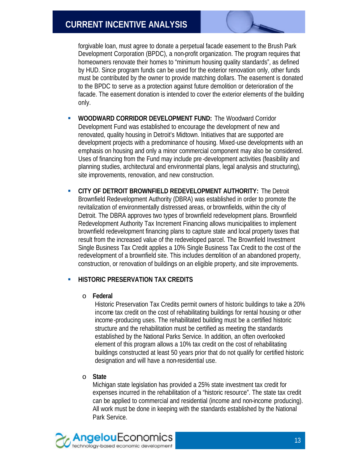# **CURRENT INCENTIVE ANALYSIS**

forgivable loan, must agree to donate a perpetual facade easement to the Brush Park Development Corporation (BPDC), a non-profit organization. The program requires that homeowners renovate their homes to "minimum housing quality standards", as defined by HUD. Since program funds can be used for the exterior renovation only, other funds must be contributed by the owner to provide matching dollars. The easement is donated to the BPDC to serve as a protection against future demolition or deterioration of the facade. The easement donation is intended to cover the exterior elements of the building only.

- ß **WOODWARD CORRIDOR DEVELOPMENT FUND:** The Woodward Corridor Development Fund was established to encourage the development of new and renovated, quality housing in Detroit's Midtown. Initiatives that are supported are development projects with a predominance of housing. Mixed-use developments with an emphasis on housing and only a minor commercial component may also be considered. Uses of financing from the Fund may include pre -development activities (feasibility and planning studies, architectural and environmental plans, legal analysis and structuring), site improvements, renovation, and new construction.
- **EXAGTE CITY OF DETROIT BROWNFIELD REDEVELOPMENT AUTHORITY:** The Detroit Brownfield Redevelopment Authority (DBRA) was established in order to promote the revitalization of environmentally distressed areas, or brownfields, within the city of Detroit. The DBRA approves two types of brownfield redevelopment plans. Brownfield Redevelopment Authority Tax Increment Financing allows municipalities to implement brownfield redevelopment financing plans to capture state and local property taxes that result from the increased value of the redeveloped parcel. The Brownfield Investment Single Business Tax Credit applies a 10% Single Business Tax Credit to the cost of the redevelopment of a brownfield site. This includes demolition of an abandoned property, construction, or renovation of buildings on an eligible property, and site improvements.

#### **HISTORIC PRESERVATION TAX CREDITS**

#### o **Federal**

Historic Preservation Tax Credits permit owners of historic buildings to take a 20% income tax credit on the cost of rehabilitating buildings for rental housing or other income-producing uses. The rehabilitated building must be a certified historic structure and the rehabilitation must be certified as meeting the standards established by the National Parks Service. In addition, an often overlooked element of this program allows a 10% tax credit on the cost of rehabilitating buildings constructed at least 50 years prior that do not qualify for certified historic designation and will have a non-residential use.

#### o **State**

Michigan state legislation has provided a 25% state investment tax credit for expenses incurred in the rehabilitation of a "historic resource". The state tax credit can be applied to commercial and residential (income and non-income producing). All work must be done in keeping with the standards established by the National Park Service.

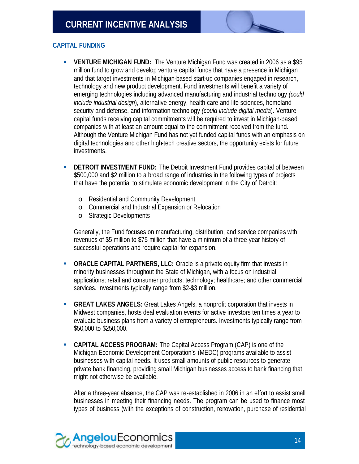

- **VENTURE MICHIGAN FUND:** The Venture Michigan Fund was created in 2006 as a \$95 million fund to grow and develop venture capital funds that have a presence in Michigan and that target investments in Michigan-based start-up companies engaged in research, technology and new product development. Fund investments will benefit a variety of emerging technologies including advanced manufacturing and industrial technology *(could include industrial design*), alternative energy, health care and life sciences, homeland security and defense, and information technology *(could include digital media*). Venture capital funds receiving capital commitments will be required to invest in Michigan-based companies with at least an amount equal to the commitment received from the fund. Although the Venture Michigan Fund has not yet funded capital funds with an emphasis on digital technologies and other high-tech creative sectors, the opportunity exists for future investments.
- **BETROIT INVESTMENT FUND:** The Detroit Investment Fund provides capital of between \$500,000 and \$2 million to a broad range of industries in the following types of projects that have the potential to stimulate economic development in the City of Detroit:
	- o Residential and Community Development
	- o Commercial and Industrial Expansion or Relocation
	- o Strategic Developments

Generally, the Fund focuses on manufacturing, distribution, and service companies with revenues of \$5 million to \$75 million that have a minimum of a three-year history of successful operations and require capital for expansion.

- **ORACLE CAPITAL PARTNERS, LLC:** Oracle is a private equity firm that invests in minority businesses throughout the State of Michigan, with a focus on industrial applications; retail and consumer products; technology; healthcare; and other commercial services. Investments typically range from \$2-\$3 million.
- **GREAT LAKES ANGELS:** Great Lakes Angels, a nonprofit corporation that invests in Midwest companies, hosts deal evaluation events for active investors ten times a year to evaluate business plans from a variety of entrepreneurs. Investments typically range from \$50,000 to \$250,000.
- **CAPITAL ACCESS PROGRAM:** The Capital Access Program (CAP) is one of the Michigan Economic Development Corporation's (MEDC) programs available to assist businesses with capital needs. It uses small amounts of public resources to generate private bank financing, providing small Michigan businesses access to bank financing that might not otherwise be available.

After a three-year absence, the CAP was re-established in 2006 in an effort to assist small businesses in meeting their financing needs. The program can be used to finance most types of business (with the exceptions of construction, renovation, purchase of residential

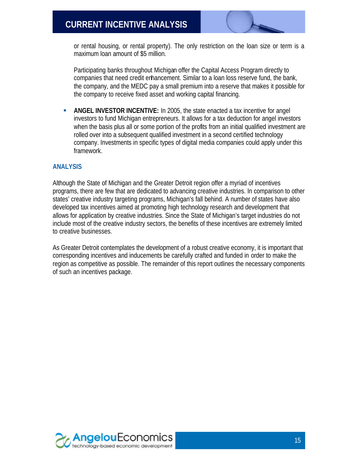# **CURRENT INCENTIVE ANALYSIS**

or rental housing, or rental property). The only restriction on the loan size or term is a maximum loan amount of \$5 million.

Participating banks throughout Michigan offer the Capital Access Program directly to companies that need credit enhancement. Similar to a loan loss reserve fund, the bank, the company, and the MEDC pay a small premium into a reserve that makes it possible for the company to receive fixed asset and working capital financing.

**ANGEL INVESTOR INCENTIVE:** In 2005, the state enacted a tax incentive for angel investors to fund Michigan entrepreneurs. It allows for a tax deduction for angel investors when the basis plus all or some portion of the profits from an initial qualified investment are rolled over into a subsequent qualified investment in a second certified technology company. Investments in specific types of digital media companies could apply under this framework.

#### **ANALYSIS**

Although the State of Michigan and the Greater Detroit region offer a myriad of incentives programs, there are few that are dedicated to advancing creative industries. In comparison to other states' creative industry targeting programs, Michigan's fall behind. A number of states have also developed tax incentives aimed at promoting high technology research and development that allows for application by creative industries. Since the State of Michigan's target industries do not include most of the creative industry sectors, the benefits of these incentives are extremely limited to creative businesses.

As Greater Detroit contemplates the development of a robust creative economy, it is important that corresponding incentives and inducements be carefully crafted and funded in order to make the region as competitive as possible. The remainder of this report outlines the necessary components of such an incentives package.

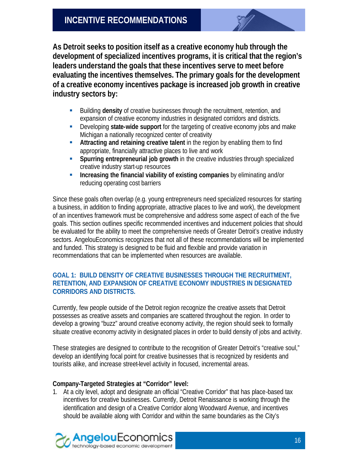**As Detroit seeks to position itself as a creative economy hub through the development of specialized incentives programs, it is critical that the region's leaders understand the goals that these incentives serve to meet before evaluating the incentives themselves. The primary goals for the development of a creative economy incentives package is increased job growth in creative industry sectors by:**

- ß Building **density** of creative businesses through the recruitment, retention, and expansion of creative economy industries in designated corridors and districts.
- **EXECTED Developing state-wide support** for the targeting of creative economy jobs and make Michigan a nationally recognized center of creativity
- ß **Attracting and retaining creative talent** in the region by enabling them to find appropriate, financially attractive places to live and work
- **Spurring entrepreneurial job growth** in the creative industries through specialized creative industry start-up resources
- ß **Increasing the financial viability of existing companies** by eliminating and/or reducing operating cost barriers

Since these goals often overlap (e.g. young entrepreneurs need specialized resources for starting a business, in addition to finding appropriate, attractive places to live and work), the development of an incentives framework must be comprehensive and address some aspect of each of the five goals. This section outlines specific recommended incentives and inducement policies that should be evaluated for the ability to meet the comprehensive needs of Greater Detroit's creative industry sectors. AngelouEconomics recognizes that not all of these recommendations will be implemented and funded. This strategy is designed to be fluid and flexible and provide variation in recommendations that can be implemented when resources are available.

#### **GOAL 1: BUILD DENSITY OF CREATIVE BUSINESSES THROUGH THE RECRUITMENT, RETENTION, AND EXPANSION OF CREATIVE ECONOMY INDUSTRIES IN DESIGNATED CORRIDORS AND DISTRICTS.**

Currently, few people outside of the Detroit region recognize the creative assets that Detroit possesses as creative assets and companies are scattered throughout the region. In order to develop a growing "buzz" around creative economy activity, the region should seek to formally situate creative economy activity in designated places in order to build density of jobs and activity.

These strategies are designed to contribute to the recognition of Greater Detroit's "creative soul," develop an identifying focal point for creative businesses that is recognized by residents and tourists alike, and increase street-level activity in focused, incremental areas.

#### **Company-Targeted Strategies at "Corridor" level:**

1. At a city level, adopt and designate an official "Creative Corridor" that has place-based tax incentives for creative businesses. Currently, Detroit Renaissance is working through the identification and design of a Creative Corridor along Woodward Avenue, and incentives should be available along with Corridor and within the same boundaries as the City's

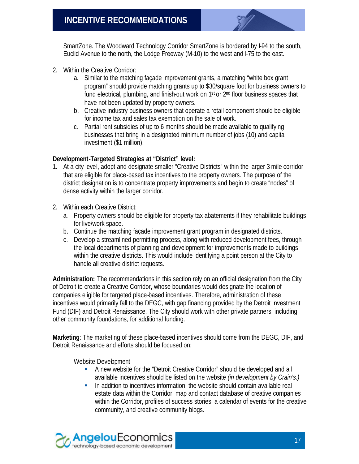SmartZone. The Woodward Technology Corridor SmartZone is bordered by I-94 to the south, Euclid Avenue to the north, the Lodge Freeway (M-10) to the west and I-75 to the east.

- 2. Within the Creative Corridor:
	- a. Similar to the matching façade improvement grants, a matching "white box grant program" should provide matching grants up to \$30/square foot for business owners to fund electrical, plumbing, and finish-out work on 1<sup>st</sup> or 2<sup>nd</sup> floor business spaces that have not been updated by property owners.
	- b. Creative industry business owners that operate a retail component should be eligible for income tax and sales tax exemption on the sale of work.
	- c. Partial rent subsidies of up to 6 months should be made available to qualifying businesses that bring in a designated minimum number of jobs (10) and capital investment (\$1 million).

#### **Development-Targeted Strategies at "District" level:**

- 1. At a city level, adopt and designate smaller "Creative Districts" within the larger 3-mile corridor that are eligible for place-based tax incentives to the property owners. The purpose of the district designation is to concentrate property improvements and begin to create "nodes" of dense activity within the larger corridor.
- 2. Within each Creative District:
	- a. Property owners should be eligible for property tax abatements if they rehabilitate buildings for live/work space.
	- b. Continue the matching façade improvement grant program in designated districts.
	- c. Develop a streamlined permitting process, along with reduced development fees, through the local departments of planning and development for improvements made to buildings within the creative districts. This would include identifying a point person at the City to handle all creative district requests.

**Administration:** The recommendations in this section rely on an official designation from the City of Detroit to create a Creative Corridor, whose boundaries would designate the location of companies eligible for targeted place-based incentives. Therefore, administration of these incentives would primarily fall to the DEGC, with gap financing provided by the Detroit Investment Fund (DIF) and Detroit Renaissance. The City should work with other private partners, including other community foundations, for additional funding.

**Marketing**: The marketing of these place-based incentives should come from the DEGC, DIF, and Detroit Renaissance and efforts should be focused on:

Website Development

- A new website for the "Detroit Creative Corridor" should be developed and all available incentives should be listed on the website *(in development by Crain's.)*
- In addition to incentives information, the website should contain available real estate data within the Corridor, map and contact database of creative companies within the Corridor, profiles of success stories, a calendar of events for the creative community, and creative community blogs.

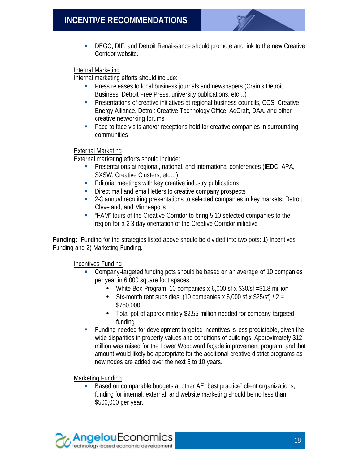

**• DEGC, DIF, and Detroit Renaissance should promote and link to the new Creative** Corridor website.

#### Internal Marketing

Internal marketing efforts should include:

- **•** Press releases to local business journals and newspapers (Crain's Detroit Business, Detroit Free Press, university publications, etc…)
- **•** Presentations of creative initiatives at regional business councils, CCS, Creative Energy Alliance, Detroit Creative Technology Office, AdCraft, DAA, and other creative networking forums
- Face to face visits and/or receptions held for creative companies in surrounding communities

#### External Marketing

External marketing efforts should include:

- ß Presentations at regional, national, and international conferences (IEDC, APA, SXSW, Creative Clusters, etc…)
- **Editorial meetings with key creative industry publications**
- **Direct mail and email letters to creative company prospects**
- **EXECT** 2-3 annual recruiting presentations to selected companies in key markets: Detroit, Cleveland, and Minneapolis
- **FAM**" tours of the Creative Corridor to bring 5-10 selected companies to the region for a 2-3 day orientation of the Creative Corridor initiative

**Funding:** Funding for the strategies listed above should be divided into two pots: 1) Incentives Funding and 2) Marketing Funding.

Incentives Funding

- ß Company-targeted funding pots should be based on an average of 10 companies per year in 6,000 square foot spaces.
	- White Box Program: 10 companies x 6,000 sf x \$30/sf = \$1.8 million
	- Six-month rent subsidies: (10 companies x 6,000 sf x \$25/sf) /  $2 =$ \$750,000
	- Total pot of approximately \$2.55 million needed for company-targeted funding
- ß Funding needed for development-targeted incentives is less predictable, given the wide disparities in property values and conditions of buildings. Approximately \$12 million was raised for the Lower Woodward façade improvement program, and that amount would likely be appropriate for the additional creative district programs as new nodes are added over the next 5 to 10 years.

Marketing Funding

■ Based on comparable budgets at other AE "best practice" client organizations, funding for internal, external, and website marketing should be no less than \$500,000 per year.

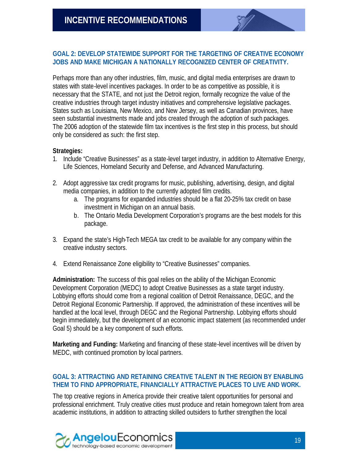#### **GOAL 2: DEVELOP STATEWIDE SUPPORT FOR THE TARGETING OF CREATIVE ECONOMY JOBS AND MAKE MICHIGAN A NATIONALLY RECOGNIZED CENTER OF CREATIVITY.**

Perhaps more than any other industries, film, music, and digital media enterprises are drawn to states with state-level incentives packages. In order to be as competitive as possible, it is necessary that the STATE, and not just the Detroit region, formally recognize the value of the creative industries through target industry initiatives and comprehensive legislative packages. States such as Louisiana, New Mexico, and New Jersey, as well as Canadian provinces, have seen substantial investments made and jobs created through the adoption of such packages. The 2006 adoption of the statewide film tax incentives is the first step in this process, but should only be considered as such: the first step.

#### **Strategies:**

- 1. Include "Creative Businesses" as a state-level target industry, in addition to Alternative Energy, Life Sciences, Homeland Security and Defense, and Advanced Manufacturing.
- 2. Adopt aggressive tax credit programs for music, publishing, advertising, design, and digital media companies, in addition to the currently adopted film credits.
	- a. The programs for expanded industries should be a flat 20-25% tax credit on base investment in Michigan on an annual basis.
	- b. The Ontario Media Development Corporation's programs are the best models for this package.
- 3. Expand the state's High-Tech MEGA tax credit to be available for any company within the creative industry sectors.
- 4. Extend Renaissance Zone eligibility to "Creative Businesses" companies.

**Administration:** The success of this goal relies on the ability of the Michigan Economic Development Corporation (MEDC) to adopt Creative Businesses as a state target industry. Lobbying efforts should come from a regional coalition of Detroit Renaissance, DEGC, and the Detroit Regional Economic Partnership. If approved, the administration of these incentives will be handled at the local level, through DEGC and the Regional Partnership. Lobbying efforts should begin immediately, but the development of an economic impact statement (as recommended under Goal 5) should be a key component of such efforts.

**Marketing and Funding:** Marketing and financing of these state-level incentives will be driven by MEDC, with continued promotion by local partners.

#### **GOAL 3: ATTRACTING AND RETAINING CREATIVE TALENT IN THE REGION BY ENABLING THEM TO FIND APPROPRIATE, FINANCIALLY ATTRACTIVE PLACES TO LIVE AND WORK.**

The top creative regions in America provide their creative talent opportunities for personal and professional enrichment. Truly creative cities must produce and retain homegrown talent from area academic institutions, in addition to attracting skilled outsiders to further strengthen the local

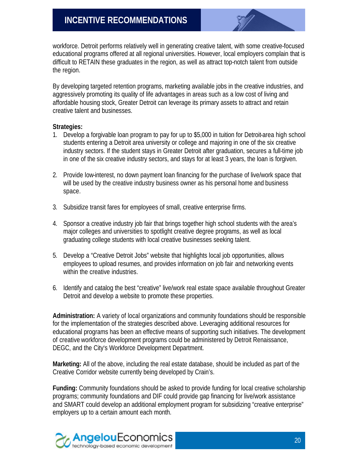workforce. Detroit performs relatively well in generating creative talent, with some creative-focused educational programs offered at all regional universities. However, local employers complain that is difficult to RETAIN these graduates in the region, as well as attract top-notch talent from outside the region.

By developing targeted retention programs, marketing available jobs in the creative industries, and aggressively promoting its quality of life advantages in areas such as a low cost of living and affordable housing stock, Greater Detroit can leverage its primary assets to attract and retain creative talent and businesses.

#### **Strategies:**

- 1. Develop a forgivable loan program to pay for up to \$5,000 in tuition for Detroit-area high school students entering a Detroit area university or college and majoring in one of the six creative industry sectors. If the student stays in Greater Detroit after graduation, secures a full-time job in one of the six creative industry sectors, and stays for at least 3 years, the loan is forgiven.
- 2. Provide low-interest, no down payment loan financing for the purchase of live/work space that will be used by the creative industry business owner as his personal home and business space.
- 3. Subsidize transit fares for employees of small, creative enterprise firms.
- 4. Sponsor a creative industry job fair that brings together high school students with the area's major colleges and universities to spotlight creative degree programs, as well as local graduating college students with local creative businesses seeking talent.
- 5. Develop a "Creative Detroit Jobs" website that highlights local job opportunities, allows employees to upload resumes, and provides information on job fair and networking events within the creative industries.
- 6. Identify and catalog the best "creative" live/work real estate space available throughout Greater Detroit and develop a website to promote these properties.

**Administration:** A variety of local organizations and community foundations should be responsible for the implementation of the strategies described above. Leveraging additional resources for educational programs has been an effective means of supporting such initiatives. The development of creative workforce development programs could be administered by Detroit Renaissance, DEGC, and the City's Workforce Development Department.

**Marketing:** All of the above, including the real estate database, should be included as part of the Creative Corridor website currently being developed by Crain's.

**Funding:** Community foundations should be asked to provide funding for local creative scholarship programs; community foundations and DIF could provide gap financing for live/work assistance and SMART could develop an additional employment program for subsidizing "creative enterprise" employers up to a certain amount each month.

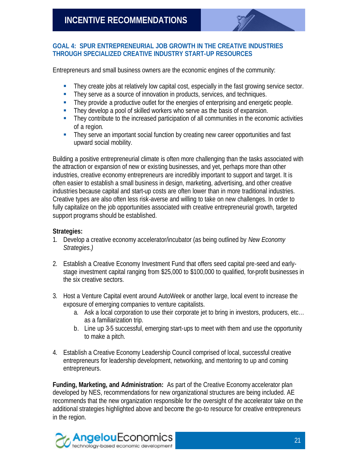

#### **GOAL 4: SPUR ENTREPRENEURIAL JOB GROWTH IN THE CREATIVE INDUSTRIES THROUGH SPECIALIZED CREATIVE INDUSTRY START-UP RESOURCES**

Entrepreneurs and small business owners are the economic engines of the community:

- **Fi** They create jobs at relatively low capital cost, especially in the fast growing service sector.
- **They serve as a source of innovation in products, services, and techniques.**
- **Fi** They provide a productive outlet for the energies of enterprising and energetic people.
- **They develop a pool of skilled workers who serve as the basis of expansion.**
- **Fi** They contribute to the increased participation of all communities in the economic activities of a region.
- They serve an important social function by creating new career opportunities and fast upward social mobility.

Building a positive entrepreneurial climate is often more challenging than the tasks associated with the attraction or expansion of new or existing businesses, and yet, perhaps more than other industries, creative economy entrepreneurs are incredibly important to support and target. It is often easier to establish a small business in design, marketing, advertising, and other creative industries because capital and start-up costs are often lower than in more traditional industries. Creative types are also often less risk-averse and willing to take on new challenges. In order to fully capitalize on the job opportunities associated with creative entrepreneurial growth, targeted support programs should be established.

#### **Strategies:**

- 1. Develop a creative economy accelerator/incubator (as being outlined by *New Economy Strategies.)*
- 2. Establish a Creative Economy Investment Fund that offers seed capital pre-seed and earlystage investment capital ranging from \$25,000 to \$100,000 to qualified, for-profit businesses in the six creative sectors.
- 3. Host a Venture Capital event around AutoWeek or another large, local event to increase the exposure of emerging companies to venture capitalists.
	- a. Ask a local corporation to use their corporate jet to bring in investors, producers, etc… as a familiarization trip.
	- b. Line up 3-5 successful, emerging start-ups to meet with them and use the opportunity to make a pitch.
- 4. Establish a Creative Economy Leadership Council comprised of local, successful creative entrepreneurs for leadership development, networking, and mentoring to up and coming entrepreneurs.

**Funding, Marketing, and Administration:** As part of the Creative Economy accelerator plan developed by NES, recommendations for new organizational structures are being included. AE recommends that the new organization responsible for the oversight of the accelerator take on the additional strategies highlighted above and become the go-to resource for creative entrepreneurs in the region.

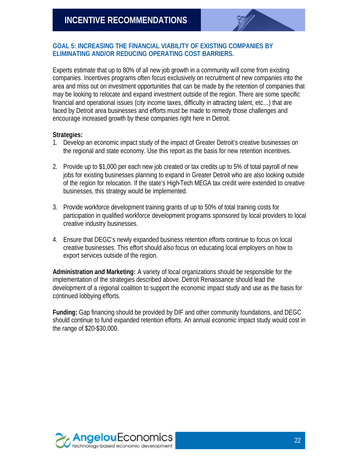

#### **GOAL 5: INCREASING THE FINANCIAL VIABILITY OF EXISTING COMPANIES BY ELIMINATING AND/OR REDUCING OPERATING COST BARRIERS.**

Experts estimate that up to 80% of all new job growth in a community will come from existing companies. Incentives programs often focus exclusively on recruitment of new companies into the area and miss out on investment opportunities that can be made by the retention of companies that may be looking to relocate and expand investment outside of the region. There are some specific financial and operational issues (city income taxes, difficulty in attracting talent, etc…) that are faced by Detroit area businesses and efforts must be made to remedy those challenges and encourage increased growth by these companies right here in Detroit.

#### **Strategies:**

- 1. Develop an economic impact study of the impact of Greater Detroit's creative businesses on the regional and state economy. Use this report as the basis for new retention incentives.
- 2. Provide up to \$1,000 per each new job created or tax credits up to 5% of total payroll of new iobs for existing businesses planning to expand in Greater Detroit who are also looking outside of the region for relocation. If the state's High-Tech MEGA tax credit were extended to creative businesses, this strategy would be implemented.
- 3. Provide workforce development training grants of up to 50% of total training costs for participation in qualified workforce development programs sponsored by local providers to local creative industry businesses.
- 4. Ensure that DEGC's newly expanded business retention efforts continue to focus on local creative businesses. This effort should also focus on educating local employers on how to export services outside of the region.

**Administration and Marketing:** A variety of local organizations should be responsible for the implementation of the strategies described above. Detroit Renaissance should lead the development of a regional coalition to support the economic impact study and use as the basis for continued lobbying efforts.

**Funding:** Gap financing should be provided by DIF and other community foundations, and DEGC should continue to fund expanded retention efforts. An annual economic impact study would cost in the range of \$20-\$30,000.

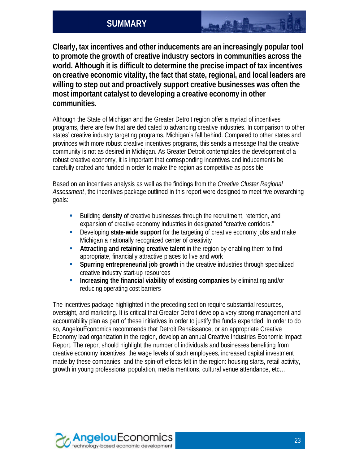## **SUMMARY**

**Clearly, tax incentives and other inducements are an increasingly popular tool to promote the growth of creative industry sectors in communities across the world. Although it is difficult to determine the precise impact of tax incentives on creative economic vitality, the fact that state, regional, and local leaders are willing to step out and proactively support creative businesses was often the most important catalyst to developing a creative economy in other communities.**

Although the State of Michigan and the Greater Detroit region offer a myriad of incentives programs, there are few that are dedicated to advancing creative industries. In comparison to other states' creative industry targeting programs, Michigan's fall behind. Compared to other states and provinces with more robust creative incentives programs, this sends a message that the creative community is not as desired in Michigan. As Greater Detroit contemplates the development of a robust creative economy, it is important that corresponding incentives and inducements be carefully crafted and funded in order to make the region as competitive as possible.

Based on an incentives analysis as well as the findings from the *Creative Cluster Regional Assessment*, the incentives package outlined in this report were designed to meet five overarching goals:

- **Building density** of creative businesses through the recruitment, retention, and expansion of creative economy industries in designated "creative corridors."
- ß Developing **state-wide support** for the targeting of creative economy jobs and make Michigan a nationally recognized center of creativity
- ß **Attracting and retaining creative talent** in the region by enabling them to find appropriate, financially attractive places to live and work
- ß **Spurring entrepreneurial job growth** in the creative industries through specialized creative industry start-up resources
- ß **Increasing the financial viability of existing companies** by eliminating and/or reducing operating cost barriers

The incentives package highlighted in the preceding section require substantial resources, oversight, and marketing. It is critical that Greater Detroit develop a very strong management and accountability plan as part of these initiatives in order to justify the funds expended. In order to do so, AngelouEconomics recommends that Detroit Renaissance, or an appropriate Creative Economy lead organization in the region, develop an annual Creative Industries Economic Impact Report. The report should highlight the number of individuals and businesses benefiting from creative economy incentives, the wage levels of such employees, increased capital investment made by these companies, and the spin-off effects felt in the region: housing starts, retail activity, growth in young professional population, media mentions, cultural venue attendance, etc…

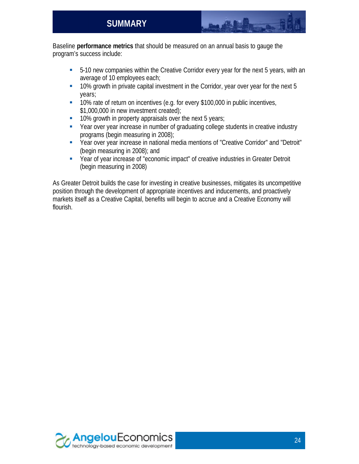Baseline **performance metrics** that should be measured on an annual basis to gauge the program's success include:

- ß 5-10 new companies within the Creative Corridor every year for the next 5 years, with an average of 10 employees each;
- **10% growth in private capital investment in the Corridor, year over year for the next 5** years;
- **10% rate of return on incentives (e.g. for every \$100,000 in public incentives,** \$1,000,000 in new investment created);
- 10% growth in property appraisals over the next 5 years;
- Year over year increase in number of graduating college students in creative industry programs (begin measuring in 2008);
- Year over year increase in national media mentions of "Creative Corridor" and "Detroit" (begin measuring in 2008); and
- Year of year increase of "economic impact" of creative industries in Greater Detroit (begin measuring in 2008)

As Greater Detroit builds the case for investing in creative businesses, mitigates its uncompetitive position through the development of appropriate incentives and inducements, and proactively markets itself as a Creative Capital, benefits will begin to accrue and a Creative Economy will flourish.